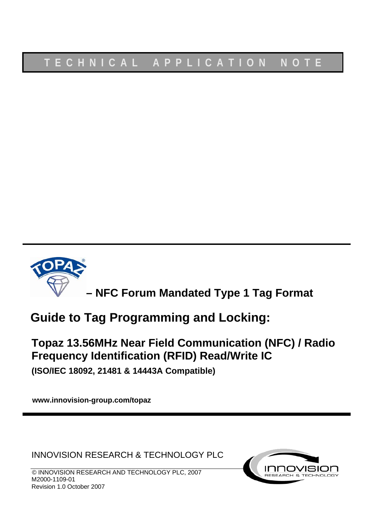

**– NFC Forum Mandated Type 1 Tag Format**

# **Guide to Tag Programming and Locking:**

# **Topaz 13.56MHz Near Field Communication (NFC) / Radio Frequency Identification (RFID) Read/Write IC**

**(ISO/IEC 18092, 21481 & 14443A Compatible)**

**www.innovision-group.com/topaz**

INNOVISION RESEARCH & TECHNOLOGY PLC

© INNOVISION RESEARCH AND TECHNOLOGY PLC, 2007 M2000-1109-01 Revision 1.0 October 2007

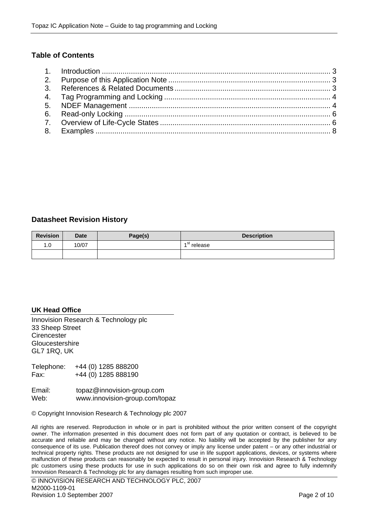# **Table of Contents**

# **Datasheet Revision History**

| <b>Revision</b> | <b>Date</b> | Page(s) | <b>Description</b> |
|-----------------|-------------|---------|--------------------|
| 0. ا            | 10/07       |         | ⊿ St<br>release    |
|                 |             |         |                    |

#### **UK Head Office**

Innovision Research & Technology plc 33 Sheep Street **Cirencester Gloucestershire** GL7 1RQ, UK

Telephone: +44 (0) 1285 888200 Fax: +44 (0) 1285 888190

Email: topaz@innovision-group.com Web: www.innovision-group.com/topaz

© Copyright Innovision Research & Technology plc 2007

All rights are reserved. Reproduction in whole or in part is prohibited without the prior written consent of the copyright owner. The information presented in this document does not form part of any quotation or contract, is believed to be accurate and reliable and may be changed without any notice. No liability will be accepted by the publisher for any consequence of its use. Publication thereof does not convey or imply any license under patent – or any other industrial or technical property rights. These products are not designed for use in life support applications, devices, or systems where malfunction of these products can reasonably be expected to result in personal injury. Innovision Research & Technology plc customers using these products for use in such applications do so on their own risk and agree to fully indemnify Innovision Research & Technology plc for any damages resulting from such improper use.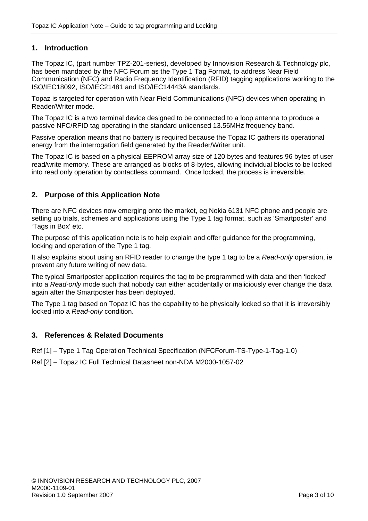# <span id="page-2-0"></span>**1. Introduction**

The Topaz IC, (part number TPZ-201-series), developed by Innovision Research & Technology plc, has been mandated by the NFC Forum as the Type 1 Tag Format, to address Near Field Communication (NFC) and Radio Frequency Identification (RFID) tagging applications working to the ISO/IEC18092, ISO/IEC21481 and ISO/IEC14443A standards.

Topaz is targeted for operation with Near Field Communications (NFC) devices when operating in Reader/Writer mode.

The Topaz IC is a two terminal device designed to be connected to a loop antenna to produce a passive NFC/RFID tag operating in the standard unlicensed 13.56MHz frequency band.

Passive operation means that no battery is required because the Topaz IC gathers its operational energy from the interrogation field generated by the Reader/Writer unit.

The Topaz IC is based on a physical EEPROM array size of 120 bytes and features 96 bytes of user read/write memory. These are arranged as blocks of 8-bytes, allowing individual blocks to be locked into read only operation by contactless command. Once locked, the process is irreversible.

# **2. Purpose of this Application Note**

There are NFC devices now emerging onto the market, eg Nokia 6131 NFC phone and people are setting up trials, schemes and applications using the Type 1 tag format, such as 'Smartposter' and 'Tags in Box' etc.

The purpose of this application note is to help explain and offer guidance for the programming, locking and operation of the Type 1 tag.

It also explains about using an RFID reader to change the type 1 tag to be a *Read-only* operation, ie prevent any future writing of new data.

The typical Smartposter application requires the tag to be programmed with data and then 'locked' into a *Read-only* mode such that nobody can either accidentally or maliciously ever change the data again after the Smartposter has been deployed.

The Type 1 tag based on Topaz IC has the capability to be physically locked so that it is irreversibly locked into a *Read-only* condition.

# **3. References & Related Documents**

Ref [1] – Type 1 Tag Operation Technical Specification (NFCForum-TS-Type-1-Tag-1.0)

Ref [2] – Topaz IC Full Technical Datasheet non-NDA M2000-1057-02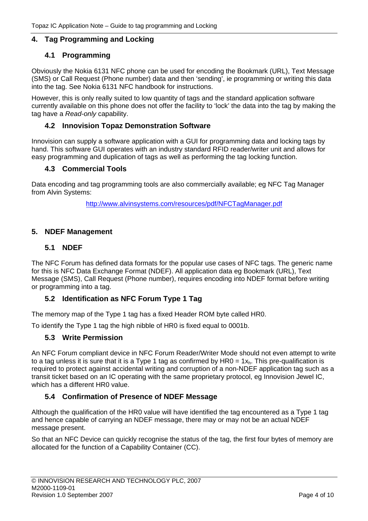# <span id="page-3-0"></span>**4. Tag Programming and Locking**

# **4.1 Programming**

Obviously the Nokia 6131 NFC phone can be used for encoding the Bookmark (URL), Text Message (SMS) or Call Request (Phone number) data and then 'sending', ie programming or writing this data into the tag. See Nokia 6131 NFC handbook for instructions.

However, this is only really suited to low quantity of tags and the standard application software currently available on this phone does not offer the facility to 'lock' the data into the tag by making the tag have a *Read-only* capability.

# **4.2 Innovision Topaz Demonstration Software**

Innovision can supply a software application with a GUI for programming data and locking tags by hand. This software GUI operates with an industry standard RFID reader/writer unit and allows for easy programming and duplication of tags as well as performing the tag locking function.

# **4.3 Commercial Tools**

Data encoding and tag programming tools are also commercially available; eg NFC Tag Manager from Alvin Systems:

<http://www.alvinsystems.com/resources/pdf/NFCTagManager.pdf>

## **5. NDEF Management**

## **5.1 NDEF**

The NFC Forum has defined data formats for the popular use cases of NFC tags. The generic name for this is NFC Data Exchange Format (NDEF). All application data eg Bookmark (URL), Text Message (SMS), Call Request (Phone number), requires encoding into NDEF format before writing or programming into a tag.

# **5.2 Identification as NFC Forum Type 1 Tag**

The memory map of the Type 1 tag has a fixed Header ROM byte called HR0.

To identify the Type 1 tag the high nibble of HR0 is fixed equal to 0001b.

## **5.3 Write Permission**

An NFC Forum compliant device in NFC Forum Reader/Writer Mode should not even attempt to write to a tag unless it is sure that it is a Type 1 tag as confirmed by  $HR0 = 1x<sub>h</sub>$ . This pre-qualification is required to protect against accidental writing and corruption of a non-NDEF application tag such as a transit ticket based on an IC operating with the same proprietary protocol, eg Innovision Jewel IC, which has a different HR0 value.

# **5.4 Confirmation of Presence of NDEF Message**

Although the qualification of the HR0 value will have identified the tag encountered as a Type 1 tag and hence capable of carrying an NDEF message, there may or may not be an actual NDEF message present.

So that an NFC Device can quickly recognise the status of the tag, the first four bytes of memory are allocated for the function of a Capability Container (CC).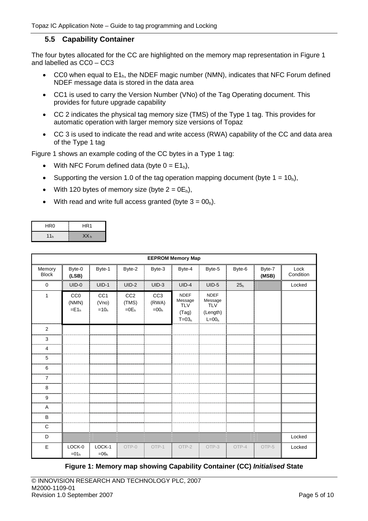## **5.5 Capability Container**

The four bytes allocated for the CC are highlighted on the memory map representation in [Figure 1](#page-4-0)  and labelled as CC0 – CC3

- CC0 when equal to  $E1<sub>h</sub>$ , the NDEF magic number (NMN), indicates that NFC Forum defined NDEF message data is stored in the data area
- CC1 is used to carry the Version Number (VNo) of the Tag Operating document. This provides for future upgrade capability
- CC 2 indicates the physical tag memory size (TMS) of the Type 1 tag. This provides for automatic operation with larger memory size versions of Topaz
- CC 3 is used to indicate the read and write access (RWA) capability of the CC and data area of the Type 1 tag

[Figure 1](#page-4-0) shows an example coding of the CC bytes in a Type 1 tag:

- With NFC Forum defined data (byte  $0 = E1_h$ ),
- Supporting the version 1.0 of the tag operation mapping document (byte  $1 = 10_h$ ),
- With 120 bytes of memory size (byte  $2 = 0E_h$ ),
- With read and write full access granted (byte  $3 = 00_h$ ).

| HR <sub>0</sub> | HR <sub>1</sub> |
|-----------------|-----------------|
| 11 <sub>h</sub> | XX <sub>h</sub> |

|                        |                                                 |                                    |                                     |                                                 | <b>EEPROM Memory Map</b>                                 |                                                               |                 |                 |                   |
|------------------------|-------------------------------------------------|------------------------------------|-------------------------------------|-------------------------------------------------|----------------------------------------------------------|---------------------------------------------------------------|-----------------|-----------------|-------------------|
| Memory<br><b>Block</b> | Byte-0<br>(LSB)                                 | Byte-1                             | Byte-2                              | Byte-3                                          | Byte-4                                                   | Byte-5                                                        | Byte-6          | Byte-7<br>(MSB) | Lock<br>Condition |
| $\mathbf 0$            | $UID-0$                                         | $UID-1$                            | $UID-2$                             | $UID-3$                                         | $UID-4$                                                  | $UID-5$                                                       | 25 <sub>h</sub> |                 | Locked            |
| $\mathbf{1}$           | CC <sub>0</sub><br>(NMN)<br>$=$ E1 <sub>h</sub> | CC <sub>1</sub><br>(Vno)<br>$=10h$ | CC <sub>2</sub><br>(TMS)<br>$=0E_h$ | CC <sub>3</sub><br>(RWA)<br>$=$ 00 <sub>h</sub> | <b>NDEF</b><br>Message<br><b>TLV</b><br>(Tag)<br>$T=03h$ | <b>NDEF</b><br>Message<br><b>TLV</b><br>(Length)<br>$L = 00h$ |                 |                 |                   |
| $\overline{2}$         |                                                 |                                    |                                     |                                                 |                                                          |                                                               |                 |                 |                   |
| 3                      |                                                 |                                    |                                     |                                                 |                                                          |                                                               |                 |                 |                   |
| 4                      |                                                 |                                    |                                     |                                                 |                                                          |                                                               |                 |                 |                   |
| 5                      |                                                 |                                    |                                     |                                                 |                                                          |                                                               |                 |                 |                   |
| 6                      |                                                 |                                    |                                     |                                                 |                                                          |                                                               |                 |                 |                   |
| $\overline{7}$         |                                                 |                                    |                                     |                                                 |                                                          |                                                               |                 |                 |                   |
| 8                      |                                                 |                                    |                                     |                                                 |                                                          |                                                               |                 |                 |                   |
| $\boldsymbol{9}$       |                                                 |                                    |                                     |                                                 |                                                          |                                                               |                 |                 |                   |
| Α                      |                                                 |                                    |                                     |                                                 |                                                          |                                                               |                 |                 |                   |
| B                      |                                                 |                                    |                                     |                                                 |                                                          |                                                               |                 |                 |                   |
| C                      |                                                 |                                    |                                     |                                                 |                                                          |                                                               |                 |                 |                   |
| D                      |                                                 |                                    |                                     |                                                 |                                                          |                                                               |                 |                 | Locked            |
| E                      | LOCK-0<br>$=01h$                                | LOCK-1<br>$=06h$                   | OTP-0                               | OTP-1                                           | OTP-2                                                    | OTP-3                                                         | OTP-4           | OTP-5           | Locked            |

<span id="page-4-0"></span>**Figure 1: Memory map showing Capability Container (CC)** *Initialised* **State**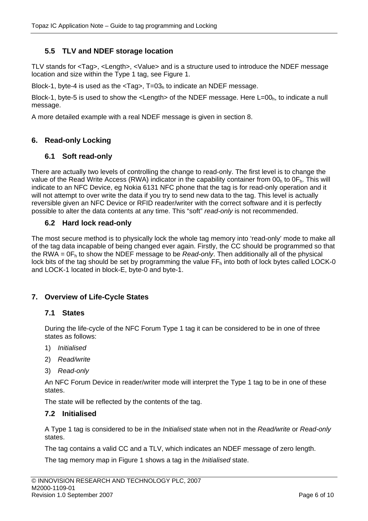# <span id="page-5-0"></span>**5.5 TLV and NDEF storage location**

TLV stands for <Tag>, <Length>, <Value> and is a structure used to introduce the NDEF message location and size within the Type 1 tag, see [Figure 1.](#page-4-0)

Block-1, byte-4 is used as the  $\langle Taq \rangle$ , T=03<sub>h</sub> to indicate an NDEF message.

Block-1, byte-5 is used to show the  $\leq$ Length> of the NDEF message. Here L=00<sub>h</sub>, to indicate a null message.

A more detailed example with a real NDEF message is given in section 8.

# **6. Read-only Locking**

# **6.1 Soft read-only**

There are actually two levels of controlling the change to read-only. The first level is to change the value of the Read Write Access (RWA) indicator in the capability container from 00<sub>h</sub> to 0F<sub>h</sub>. This will indicate to an NFC Device, eg Nokia 6131 NFC phone that the tag is for read-only operation and it will not attempt to over write the data if you try to send new data to the tag. This level is actually reversible given an NFC Device or RFID reader/writer with the correct software and it is perfectly possible to alter the data contents at any time. This "soft" *read-only* is not recommended.

# **6.2 Hard lock read-only**

The most secure method is to physically lock the whole tag memory into 'read-only' mode to make all of the tag data incapable of being changed ever again. Firstly, the CC should be programmed so that the RWA = 0Fh to show the NDEF message to be *Read-only*. Then additionally all of the physical lock bits of the tag should be set by programming the value  $FF<sub>h</sub>$  into both of lock bytes called LOCK-0 and LOCK-1 located in block-E, byte-0 and byte-1.

# **7. Overview of Life-Cycle States**

# **7.1 States**

During the life-cycle of the NFC Forum Type 1 tag it can be considered to be in one of three states as follows:

- 1) *Initialised*
- 2) *Read/write*
- 3) *Read-only*

An NFC Forum Device in reader/writer mode will interpret the Type 1 tag to be in one of these states.

The state will be reflected by the contents of the tag.

# **7.2 Initialised**

A Type 1 tag is considered to be in the *Initialised* state when not in the *Read/write* or *Read-only* states.

The tag contains a valid CC and a TLV, which indicates an NDEF message of zero length.

The tag memory map in [Figure 1](#page-4-0) shows a tag in the *Initialised* state.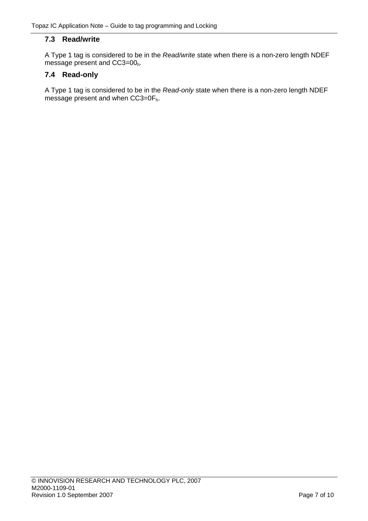# **7.3 Read/write**

A Type 1 tag is considered to be in the *Read/write* state when there is a non-zero length NDEF message present and CC3=00<sub>h</sub>.

# **7.4 Read-only**

A Type 1 tag is considered to be in the *Read-only* state when there is a non-zero length NDEF message present and when CC3=0F<sub>h</sub>.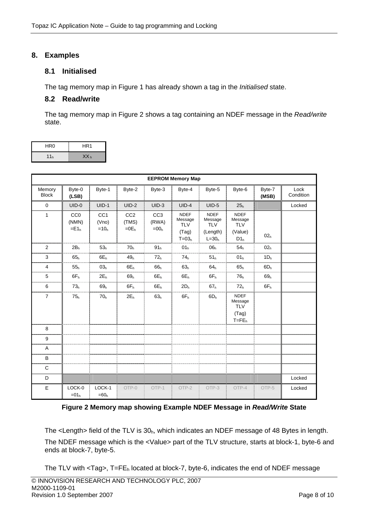# <span id="page-7-0"></span>**8. Examples**

# **8.1 Initialised**

The tag memory map in [Figure 1](#page-4-0) has already shown a tag in the *Initialised* state.

## **8.2 Read/write**

The tag memory map in [Figure 2](#page-7-1) shows a tag containing an NDEF message in the *Read/write* state.

| HR <sub>0</sub> | HR <sub>1</sub> |
|-----------------|-----------------|
| 11 <sub>h</sub> | XX <sub>h</sub> |

|                        |                                       |                                    |                                     |                                    | <b>EEPROM Memory Map</b>                                 |                                                               |                                                                    |                 |                   |
|------------------------|---------------------------------------|------------------------------------|-------------------------------------|------------------------------------|----------------------------------------------------------|---------------------------------------------------------------|--------------------------------------------------------------------|-----------------|-------------------|
| Memory<br><b>Block</b> | Byte-0<br>(LSB)                       | Byte-1                             | Byte-2                              | Byte-3                             | Byte-4                                                   | Byte-5                                                        | Byte-6                                                             | Byte-7<br>(MSB) | Lock<br>Condition |
| $\mathbf 0$            | $UID-0$                               | $UID-1$                            | $UID-2$                             | $UID-3$                            | $UID-4$                                                  | $UID-5$                                                       | 25 <sub>h</sub>                                                    |                 | Locked            |
| $\mathbf{1}$           | CC <sub>0</sub><br>(NMN)<br>$=$ $E1h$ | CC <sub>1</sub><br>(Vno)<br>$=10h$ | CC <sub>2</sub><br>(TMS)<br>$=0E_h$ | CC <sub>3</sub><br>(RWA)<br>$=00h$ | <b>NDEF</b><br>Message<br><b>TLV</b><br>(Tag)<br>$T=03h$ | <b>NDEF</b><br>Message<br><b>TLV</b><br>(Length)<br>$L = 30h$ | <b>NDEF</b><br>Message<br><b>TLV</b><br>(Value)<br>D1 <sub>h</sub> | 02 <sub>h</sub> |                   |
| 2                      | 2B <sub>h</sub>                       | 53 <sub>h</sub>                    | 70 <sub>h</sub>                     | 91 <sub>h</sub>                    | 01 <sub>h</sub>                                          | 06 <sub>h</sub>                                               | 54 <sub>h</sub>                                                    | 02 <sub>h</sub> |                   |
| 3                      | 65 <sub>h</sub>                       | $6E_h$                             | 49 <sub>h</sub>                     | 72 <sub>h</sub>                    | 74 <sub>h</sub>                                          | 51 <sub>h</sub>                                               | 01 <sub>h</sub>                                                    | 1D <sub>h</sub> |                   |
| $\overline{4}$         | 55 <sub>h</sub>                       | 03 <sub>h</sub>                    | $6E_h$                              | 66 <sub>h</sub>                    | 63 <sub>h</sub>                                          | 64 <sub>h</sub>                                               | 65 <sub>h</sub>                                                    | 6D <sub>h</sub> |                   |
| 5                      | $6F_h$                                | $2E_h$                             | 69 <sub>h</sub>                     | $6E_h$                             | $6E_h$                                                   | $6F_h$                                                        | 76 <sub>h</sub>                                                    | 69 <sub>h</sub> |                   |
| 6                      | 73 <sub>h</sub>                       | 69 <sub>h</sub>                    | $6F_h$                              | $6E_h$                             | 2D <sub>h</sub>                                          | 67 <sub>h</sub>                                               | 72 <sub>h</sub>                                                    | $6F_h$          |                   |
| $\overline{7}$         | 75 <sub>h</sub>                       | 70 <sub>h</sub>                    | 2E <sub>h</sub>                     | 63 <sub>h</sub>                    | 6F <sub>h</sub>                                          | 6D <sub>h</sub>                                               | <b>NDEF</b><br>Message<br><b>TLV</b><br>(Tag)<br>$T = FEh$         |                 |                   |
| 8                      |                                       |                                    |                                     |                                    |                                                          |                                                               |                                                                    |                 |                   |
| 9                      |                                       |                                    |                                     |                                    |                                                          |                                                               |                                                                    |                 |                   |
| Α                      |                                       |                                    |                                     |                                    |                                                          |                                                               |                                                                    |                 |                   |
| B                      |                                       |                                    |                                     |                                    |                                                          |                                                               |                                                                    |                 |                   |
| C                      |                                       |                                    |                                     |                                    |                                                          |                                                               |                                                                    |                 |                   |
| D                      |                                       |                                    |                                     |                                    |                                                          |                                                               |                                                                    |                 | Locked            |
| $\mathsf E$            | LOCK-0<br>$=01h$                      | LOCK-1<br>$=60h$                   | OTP-0                               | OTP-1                              | OTP-2                                                    | OTP-3                                                         | OTP-4                                                              | OTP-5           | Locked            |

<span id="page-7-1"></span>**Figure 2 Memory map showing Example NDEF Message in** *Read/Write* **State** 

The <Length> field of the TLV is  $30<sub>h</sub>$ , which indicates an NDEF message of 48 Bytes in length. The NDEF message which is the <Value> part of the TLV structure, starts at block-1, byte-6 and ends at block-7, byte-5.

The TLV with  $\lt$ Tag>, T=FE<sub>h</sub> located at block-7, byte-6, indicates the end of NDEF message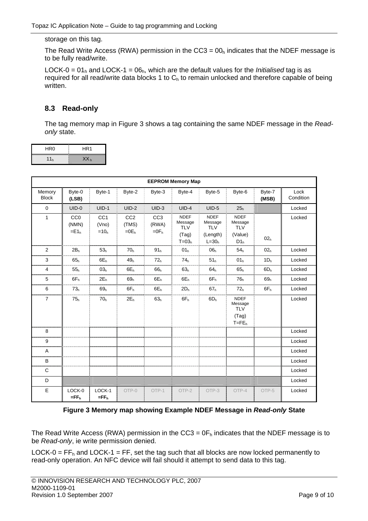storage on this tag.

The Read Write Access (RWA) permission in the  $CC3 = 00<sub>h</sub>$  indicates that the NDEF message is to be fully read/write.

LOCK-0 =  $01<sub>h</sub>$  and LOCK-1 =  $06<sub>h</sub>$ , which are the default values for the *Initialised* tag is as required for all read/write data blocks 1 to  $C_h$  to remain unlocked and therefore capable of being written.

# **8.3 Read-only**

The tag memory map in [Figure 3](#page-8-0) shows a tag containing the same NDEF message in the *Readonly* state.

| HR <sub>0</sub> | HR <sub>1</sub> |
|-----------------|-----------------|
| 11 <sub>h</sub> | XX <sub>h</sub> |

|                        |                                                 |                                    |                                     |                                     | <b>EEPROM Memory Map</b>                                 |                                                               |                                                                    |                 |                   |
|------------------------|-------------------------------------------------|------------------------------------|-------------------------------------|-------------------------------------|----------------------------------------------------------|---------------------------------------------------------------|--------------------------------------------------------------------|-----------------|-------------------|
| Memory<br><b>Block</b> | Byte-0<br>(LSB)                                 | Byte-1                             | Byte-2                              | Byte-3                              | Byte-4                                                   | Byte-5                                                        | Byte-6                                                             | Byte-7<br>(MSB) | Lock<br>Condition |
| $\mathbf 0$            | $UID-0$                                         | $UID-1$                            | $UID-2$                             | $UID-3$                             | $UID-4$                                                  | $UID-5$                                                       | 25 <sub>h</sub>                                                    |                 | Locked            |
| $\mathbf{1}$           | CC <sub>0</sub><br>(NMN)<br>$=$ E1 <sub>h</sub> | CC <sub>1</sub><br>(Vno)<br>$=10h$ | CC <sub>2</sub><br>(TMS)<br>$=0E_h$ | CC <sub>3</sub><br>(RWA)<br>$=0F_h$ | <b>NDEF</b><br>Message<br><b>TLV</b><br>(Tag)<br>$T=03h$ | <b>NDEF</b><br>Message<br><b>TLV</b><br>(Length)<br>$L = 30h$ | <b>NDEF</b><br>Message<br><b>TLV</b><br>(Value)<br>D1 <sub>h</sub> | 02 <sub>h</sub> | Locked            |
| 2                      | 2B <sub>h</sub>                                 | 53 <sub>h</sub>                    | 70 <sub>h</sub>                     | 91 <sub>h</sub>                     | 01 <sub>h</sub>                                          | 06 <sub>h</sub>                                               | 54 <sub>h</sub>                                                    | 02 <sub>h</sub> | Locked            |
| 3                      | 65 <sub>h</sub>                                 | $6E_h$                             | 49 <sub>h</sub>                     | 72 <sub>h</sub>                     | 74 <sub>h</sub>                                          | 51 <sub>h</sub>                                               | 01 <sub>h</sub>                                                    | 1D <sub>h</sub> | Locked            |
| 4                      | 55 <sub>h</sub>                                 | 03 <sub>h</sub>                    | $6E_h$                              | 66 <sub>h</sub>                     | 63 <sub>h</sub>                                          | 64 <sub>h</sub>                                               | 65 <sub>h</sub>                                                    | 6D <sub>h</sub> | Locked            |
| 5                      | $6F_h$                                          | 2E <sub>h</sub>                    | 69 <sub>h</sub>                     | $6E_h$                              | $6E_h$<br>. 1                                            | $6F_h$                                                        | 76 <sub>h</sub>                                                    | 69 <sub>h</sub> | Locked            |
| 6                      | 73 <sub>h</sub>                                 | 69 <sub>h</sub>                    | $6F_h$                              | $6E_h$                              | 2D <sub>h</sub>                                          | 67 <sub>h</sub>                                               | 72 <sub>h</sub>                                                    | $6F_h$          | Locked            |
| $\overline{7}$         | 75 <sub>h</sub>                                 | 70 <sub>h</sub>                    | $2E_h$                              | 63 <sub>h</sub>                     | $6F_h$                                                   | 6D <sub>h</sub>                                               | <b>NDEF</b><br>Message<br><b>TLV</b><br>(Tag)<br>$T = FEh$         |                 | Locked            |
| 8                      |                                                 |                                    |                                     |                                     |                                                          |                                                               |                                                                    |                 | Locked            |
| 9                      |                                                 |                                    |                                     |                                     |                                                          |                                                               |                                                                    |                 | Locked            |
| Α                      |                                                 |                                    |                                     |                                     |                                                          |                                                               |                                                                    |                 | Locked            |
| B                      |                                                 |                                    |                                     |                                     |                                                          |                                                               |                                                                    |                 | Locked            |
| $\mathsf{C}$           |                                                 |                                    |                                     |                                     |                                                          |                                                               |                                                                    |                 | Locked            |
| D                      |                                                 |                                    |                                     |                                     |                                                          |                                                               |                                                                    |                 | Locked            |
| E                      | LOCK-0<br>$=$ FF <sub>h</sub>                   | LOCK-1<br>$=$ FF <sub>h</sub>      | OTP-0                               | OTP-1                               | OTP-2                                                    | OTP-3                                                         | OTP-4                                                              | OTP-5           | Locked            |

#### <span id="page-8-0"></span>**Figure 3 Memory map showing Example NDEF Message in** *Read-only* **State**

The Read Write Access (RWA) permission in the CC3 =  $0F_h$  indicates that the NDEF message is to be *Read-only*, ie write permission denied.

LOCK-0 =  $FF<sub>h</sub>$  and LOCK-1 = FF, set the tag such that all blocks are now locked permanently to read-only operation. An NFC device will fail should it attempt to send data to this tag.